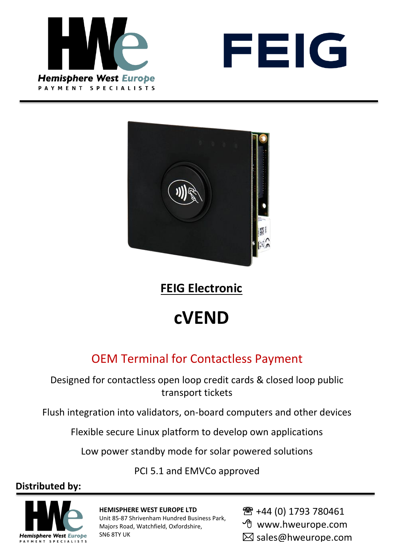





**FEIG Electronic**

# **cVEND**

## OEM Terminal for Contactless Payment

Designed for contactless open loop credit cards & closed loop public transport tickets

Flush integration into validators, on-board computers and other devices

Flexible secure Linux platform to develop own applications

Low power standby mode for solar powered solutions

PCI 5.1 and EMVCo approved

#### **Distributed by:**



**HEMISPHERE WEST EUROPE LTD**

Unit 85-87 Shrivenham Hundred Business Park, Majors Road, Watchfield, Oxfordshire, SN6 8TY UK

- **<sup>2</sup>**+44 (0) 1793 780461
- www.hweurope.com
- $\boxtimes$  sales@hweurope.com